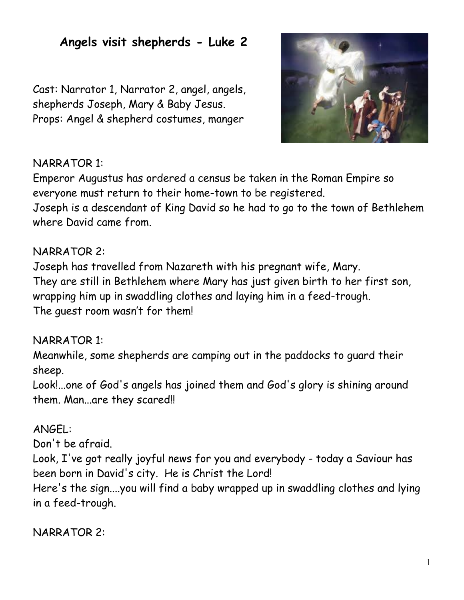# **Angels visit shepherds - Luke 2**

Cast: Narrator 1, Narrator 2, angel, angels, shepherds Joseph, Mary & Baby Jesus. Props: Angel & shepherd costumes, manger



#### NARRATOR 1:

Emperor Augustus has ordered a census be taken in the Roman Empire so everyone must return to their home-town to be registered.

Joseph is a descendant of King David so he had to go to the town of Bethlehem where David came from.

#### NARRATOR 2:

Joseph has travelled from Nazareth with his pregnant wife, Mary. They are still in Bethlehem where Mary has just given birth to her first son, wrapping him up in swaddling clothes and laying him in a feed-trough. The guest room wasn't for them!

#### NARRATOR 1:

Meanwhile, some shepherds are camping out in the paddocks to guard their sheep.

Look!...one of God's angels has joined them and God's glory is shining around them. Man...are they scared!!

### ANGEL:

Don't be afraid.

Look, I've got really joyful news for you and everybody - today a Saviour has been born in David's city. He is Christ the Lord!

Here's the sign....you will find a baby wrapped up in swaddling clothes and lying in a feed-trough.

NARRATOR 2: